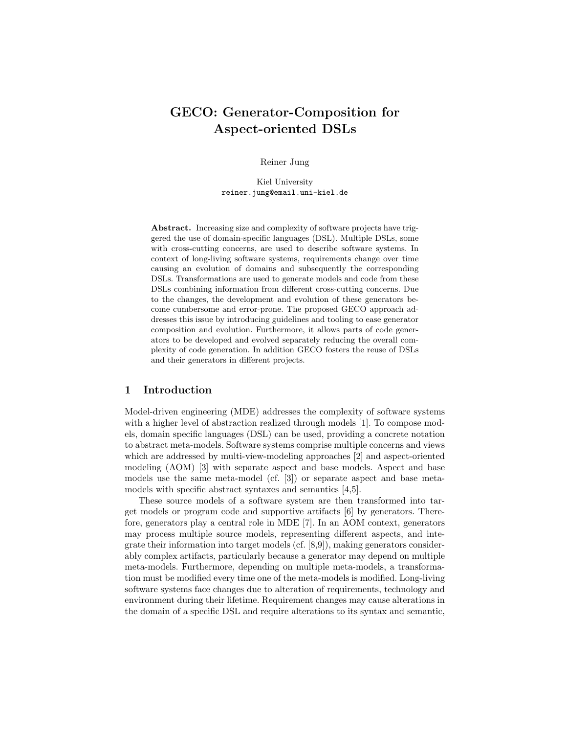# GECO: Generator-Composition for Aspect-oriented DSLs

Reiner Jung

Kiel University reiner.jung@email.uni-kiel.de

Abstract. Increasing size and complexity of software projects have triggered the use of domain-specific languages (DSL). Multiple DSLs, some with cross-cutting concerns, are used to describe software systems. In context of long-living software systems, requirements change over time causing an evolution of domains and subsequently the corresponding DSLs. Transformations are used to generate models and code from these DSLs combining information from different cross-cutting concerns. Due to the changes, the development and evolution of these generators become cumbersome and error-prone. The proposed GECO approach addresses this issue by introducing guidelines and tooling to ease generator composition and evolution. Furthermore, it allows parts of code generators to be developed and evolved separately reducing the overall complexity of code generation. In addition GECO fosters the reuse of DSLs and their generators in different projects.

## 1 Introduction

Model-driven engineering (MDE) addresses the complexity of software systems with a higher level of abstraction realized through models [\[1\]](#page-6-0). To compose models, domain specific languages (DSL) can be used, providing a concrete notation to abstract meta-models. Software systems comprise multiple concerns and views which are addressed by multi-view-modeling approaches [\[2\]](#page-6-1) and aspect-oriented modeling (AOM) [\[3\]](#page-6-2) with separate aspect and base models. Aspect and base models use the same meta-model (cf. [\[3\]](#page-6-2)) or separate aspect and base metamodels with specific abstract syntaxes and semantics [\[4,](#page-6-3)[5\]](#page-6-4).

These source models of a software system are then transformed into target models or program code and supportive artifacts [\[6\]](#page-6-5) by generators. Therefore, generators play a central role in MDE [\[7\]](#page-6-6). In an AOM context, generators may process multiple source models, representing different aspects, and integrate their information into target models (cf. [\[8](#page-6-7)[,9\]](#page-6-8)), making generators considerably complex artifacts, particularly because a generator may depend on multiple meta-models. Furthermore, depending on multiple meta-models, a transformation must be modified every time one of the meta-models is modified. Long-living software systems face changes due to alteration of requirements, technology and environment during their lifetime. Requirement changes may cause alterations in the domain of a specific DSL and require alterations to its syntax and semantic,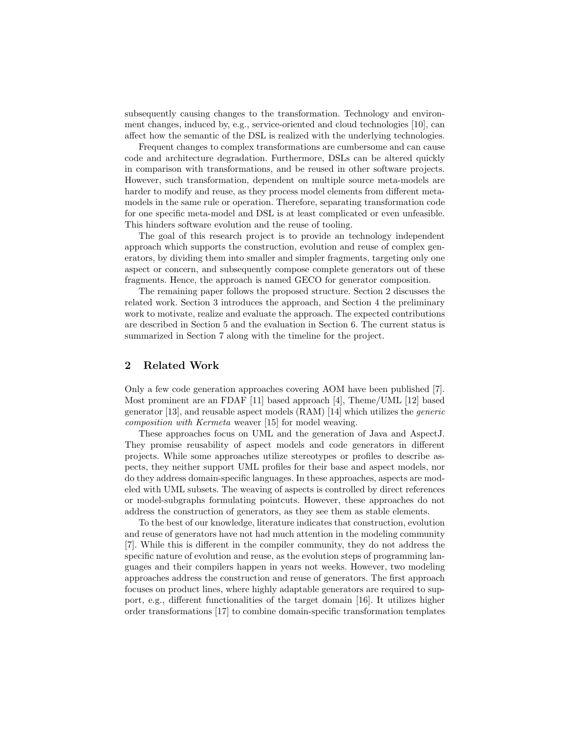subsequently causing changes to the transformation. Technology and environment changes, induced by, e.g., service-oriented and cloud technologies [\[10\]](#page-7-0), can affect how the semantic of the DSL is realized with the underlying technologies.

Frequent changes to complex transformations are cumbersome and can cause code and architecture degradation. Furthermore, DSLs can be altered quickly in comparison with transformations, and be reused in other software projects. However, such transformation, dependent on multiple source meta-models are harder to modify and reuse, as they process model elements from different metamodels in the same rule or operation. Therefore, separating transformation code for one specific meta-model and DSL is at least complicated or even unfeasible. This hinders software evolution and the reuse of tooling.

The goal of this research project is to provide an technology independent approach which supports the construction, evolution and reuse of complex generators, by dividing them into smaller and simpler fragments, targeting only one aspect or concern, and subsequently compose complete generators out of these fragments. Hence, the approach is named GECO for generator composition.

The remaining paper follows the proposed structure. [Section 2](#page-1-0) discusses the related work. [Section 3](#page-2-0) introduces the approach, and [Section 4](#page-4-0) the preliminary work to motivate, realize and evaluate the approach. The expected contributions are described in [Section 5](#page-5-0) and the evaluation in [Section 6.](#page-5-1) The current status is summarized in [Section 7](#page-6-9) along with the timeline for the project.

# <span id="page-1-0"></span>2 Related Work

Only a few code generation approaches covering AOM have been published [\[7\]](#page-6-6). Most prominent are an FDAF [\[11\]](#page-7-1) based approach [\[4\]](#page-6-3), Theme/UML [\[12\]](#page-7-2) based generator [\[13\]](#page-7-3), and reusable aspect models (RAM) [\[14\]](#page-7-4) which utilizes the generic composition with Kermeta weaver [\[15\]](#page-7-5) for model weaving.

These approaches focus on UML and the generation of Java and AspectJ. They promise reusability of aspect models and code generators in different projects. While some approaches utilize stereotypes or profiles to describe aspects, they neither support UML profiles for their base and aspect models, nor do they address domain-specific languages. In these approaches, aspects are modeled with UML subsets. The weaving of aspects is controlled by direct references or model-subgraphs formulating pointcuts. However, these approaches do not address the construction of generators, as they see them as stable elements.

To the best of our knowledge, literature indicates that construction, evolution and reuse of generators have not had much attention in the modeling community [\[7\]](#page-6-6). While this is different in the compiler community, they do not address the specific nature of evolution and reuse, as the evolution steps of programming languages and their compilers happen in years not weeks. However, two modeling approaches address the construction and reuse of generators. The first approach focuses on product lines, where highly adaptable generators are required to support, e.g., different functionalities of the target domain [\[16\]](#page-7-6). It utilizes higher order transformations [\[17\]](#page-7-7) to combine domain-specific transformation templates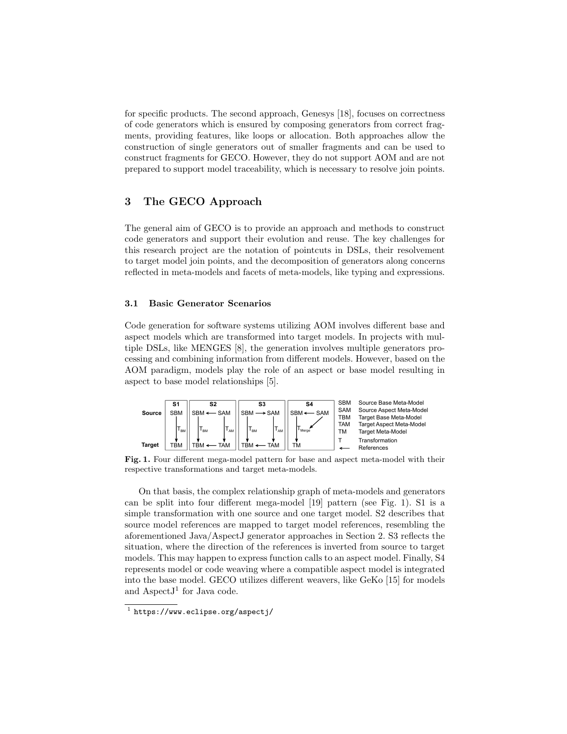for specific products. The second approach, Genesys [\[18\]](#page-7-8), focuses on correctness of code generators which is ensured by composing generators from correct fragments, providing features, like loops or allocation. Both approaches allow the construction of single generators out of smaller fragments and can be used to construct fragments for GECO. However, they do not support AOM and are not prepared to support model traceability, which is necessary to resolve join points.

# <span id="page-2-0"></span>3 The GECO Approach

The general aim of GECO is to provide an approach and methods to construct code generators and support their evolution and reuse. The key challenges for this research project are the notation of pointcuts in DSLs, their resolvement to target model join points, and the decomposition of generators along concerns reflected in meta-models and facets of meta-models, like typing and expressions.

## 3.1 Basic Generator Scenarios

Code generation for software systems utilizing AOM involves different base and aspect models which are transformed into target models. In projects with multiple DSLs, like MENGES [\[8\]](#page-6-7), the generation involves multiple generators processing and combining information from different models. However, based on the AOM paradigm, models play the role of an aspect or base model resulting in aspect to base model relationships [\[5\]](#page-6-4).



<span id="page-2-1"></span>Fig. 1. Four different mega-model pattern for base and aspect meta-model with their respective transformations and target meta-models.

On that basis, the complex relationship graph of meta-models and generators can be split into four different mega-model [\[19\]](#page-7-9) pattern (see [Fig. 1\)](#page-2-1). S1 is a simple transformation with one source and one target model. S2 describes that source model references are mapped to target model references, resembling the aforementioned Java/AspectJ generator approaches in [Section 2.](#page-1-0) S3 reflects the situation, where the direction of the references is inverted from source to target models. This may happen to express function calls to an aspect model. Finally, S4 represents model or code weaving where a compatible aspect model is integrated into the base model. GECO utilizes different weavers, like GeKo [\[15\]](#page-7-5) for models and Aspect $J^1$  $J^1$  for Java code.

<span id="page-2-2"></span> $^1$  <https://www.eclipse.org/aspectj/>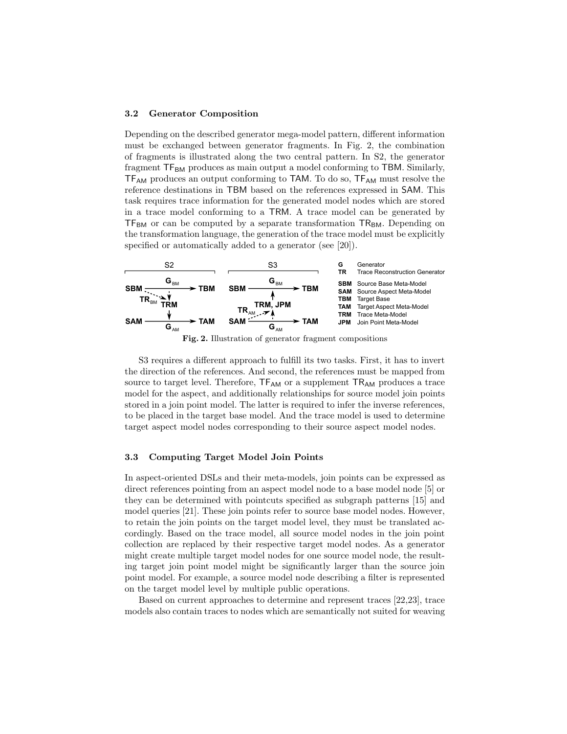#### 3.2 Generator Composition

Depending on the described generator mega-model pattern, different information must be exchanged between generator fragments. In [Fig. 2,](#page-3-0) the combination of fragments is illustrated along the two central pattern. In S2, the generator fragment  $TF_{BM}$  produces as main output a model conforming to TBM. Similarly, TF<sub>AM</sub> produces an output conforming to TAM. To do so, TF<sub>AM</sub> must resolve the reference destinations in TBM based on the references expressed in SAM. This task requires trace information for the generated model nodes which are stored in a trace model conforming to a TRM. A trace model can be generated by  $TF_{BM}$  or can be computed by a separate transformation  $TR_{BM}$ . Depending on the transformation language, the generation of the trace model must be explicitly specified or automatically added to a generator (see [\[20\]](#page-7-10)).



<span id="page-3-0"></span>Fig. 2. Illustration of generator fragment compositions

S3 requires a different approach to fulfill its two tasks. First, it has to invert the direction of the references. And second, the references must be mapped from source to target level. Therefore,  $TF_{AM}$  or a supplement  $TR_{AM}$  produces a trace model for the aspect, and additionally relationships for source model join points stored in a join point model. The latter is required to infer the inverse references, to be placed in the target base model. And the trace model is used to determine target aspect model nodes corresponding to their source aspect model nodes.

#### 3.3 Computing Target Model Join Points

In aspect-oriented DSLs and their meta-models, join points can be expressed as direct references pointing from an aspect model node to a base model node [\[5\]](#page-6-4) or they can be determined with pointcuts specified as subgraph patterns [\[15\]](#page-7-5) and model queries [\[21\]](#page-7-11). These join points refer to source base model nodes. However, to retain the join points on the target model level, they must be translated accordingly. Based on the trace model, all source model nodes in the join point collection are replaced by their respective target model nodes. As a generator might create multiple target model nodes for one source model node, the resulting target join point model might be significantly larger than the source join point model. For example, a source model node describing a filter is represented on the target model level by multiple public operations.

Based on current approaches to determine and represent traces [\[22,](#page-7-12)[23\]](#page-7-13), trace models also contain traces to nodes which are semantically not suited for weaving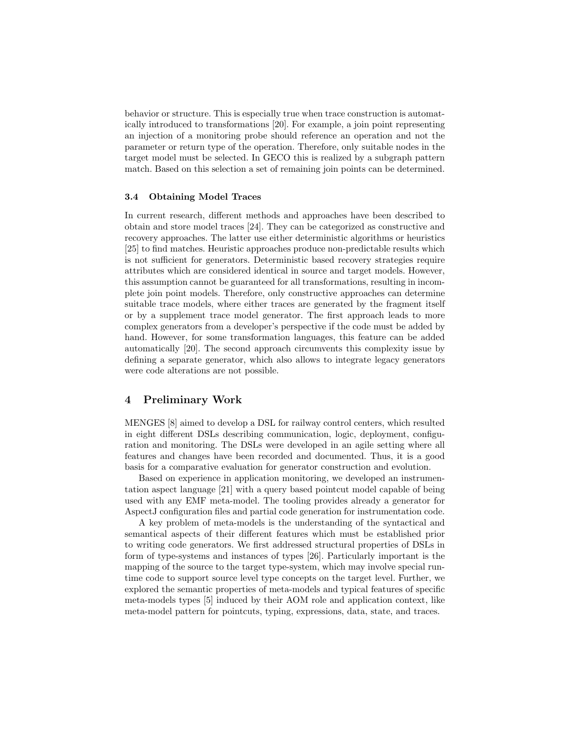behavior or structure. This is especially true when trace construction is automatically introduced to transformations [\[20\]](#page-7-10). For example, a join point representing an injection of a monitoring probe should reference an operation and not the parameter or return type of the operation. Therefore, only suitable nodes in the target model must be selected. In GECO this is realized by a subgraph pattern match. Based on this selection a set of remaining join points can be determined.

#### 3.4 Obtaining Model Traces

In current research, different methods and approaches have been described to obtain and store model traces [\[24\]](#page-7-14). They can be categorized as constructive and recovery approaches. The latter use either deterministic algorithms or heuristics [\[25\]](#page-7-15) to find matches. Heuristic approaches produce non-predictable results which is not sufficient for generators. Deterministic based recovery strategies require attributes which are considered identical in source and target models. However, this assumption cannot be guaranteed for all transformations, resulting in incomplete join point models. Therefore, only constructive approaches can determine suitable trace models, where either traces are generated by the fragment itself or by a supplement trace model generator. The first approach leads to more complex generators from a developer's perspective if the code must be added by hand. However, for some transformation languages, this feature can be added automatically [\[20\]](#page-7-10). The second approach circumvents this complexity issue by defining a separate generator, which also allows to integrate legacy generators were code alterations are not possible.

# <span id="page-4-0"></span>4 Preliminary Work

MENGES [\[8\]](#page-6-7) aimed to develop a DSL for railway control centers, which resulted in eight different DSLs describing communication, logic, deployment, configuration and monitoring. The DSLs were developed in an agile setting where all features and changes have been recorded and documented. Thus, it is a good basis for a comparative evaluation for generator construction and evolution.

Based on experience in application monitoring, we developed an instrumentation aspect language [\[21\]](#page-7-11) with a query based pointcut model capable of being used with any EMF meta-model. The tooling provides already a generator for AspectJ configuration files and partial code generation for instrumentation code.

A key problem of meta-models is the understanding of the syntactical and semantical aspects of their different features which must be established prior to writing code generators. We first addressed structural properties of DSLs in form of type-systems and instances of types [\[26\]](#page-7-16). Particularly important is the mapping of the source to the target type-system, which may involve special runtime code to support source level type concepts on the target level. Further, we explored the semantic properties of meta-models and typical features of specific meta-models types [\[5\]](#page-6-4) induced by their AOM role and application context, like meta-model pattern for pointcuts, typing, expressions, data, state, and traces.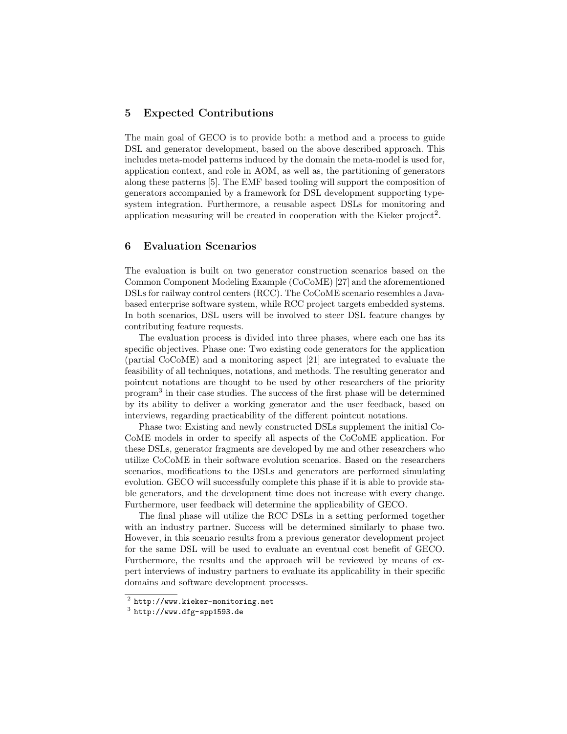# <span id="page-5-0"></span>5 Expected Contributions

The main goal of GECO is to provide both: a method and a process to guide DSL and generator development, based on the above described approach. This includes meta-model patterns induced by the domain the meta-model is used for, application context, and role in AOM, as well as, the partitioning of generators along these patterns [\[5\]](#page-6-4). The EMF based tooling will support the composition of generators accompanied by a framework for DSL development supporting typesystem integration. Furthermore, a reusable aspect DSLs for monitoring and application measuring will be created in cooperation with the Kieker project<sup>[2](#page-5-2)</sup>.

# <span id="page-5-1"></span>6 Evaluation Scenarios

The evaluation is built on two generator construction scenarios based on the Common Component Modeling Example (CoCoME) [\[27\]](#page-7-17) and the aforementioned DSLs for railway control centers (RCC). The CoCoME scenario resembles a Javabased enterprise software system, while RCC project targets embedded systems. In both scenarios, DSL users will be involved to steer DSL feature changes by contributing feature requests.

The evaluation process is divided into three phases, where each one has its specific objectives. Phase one: Two existing code generators for the application (partial CoCoME) and a monitoring aspect [\[21\]](#page-7-11) are integrated to evaluate the feasibility of all techniques, notations, and methods. The resulting generator and pointcut notations are thought to be used by other researchers of the priority program[3](#page-5-3) in their case studies. The success of the first phase will be determined by its ability to deliver a working generator and the user feedback, based on interviews, regarding practicability of the different pointcut notations.

Phase two: Existing and newly constructed DSLs supplement the initial Co-CoME models in order to specify all aspects of the CoCoME application. For these DSLs, generator fragments are developed by me and other researchers who utilize CoCoME in their software evolution scenarios. Based on the researchers scenarios, modifications to the DSLs and generators are performed simulating evolution. GECO will successfully complete this phase if it is able to provide stable generators, and the development time does not increase with every change. Furthermore, user feedback will determine the applicability of GECO.

The final phase will utilize the RCC DSLs in a setting performed together with an industry partner. Success will be determined similarly to phase two. However, in this scenario results from a previous generator development project for the same DSL will be used to evaluate an eventual cost benefit of GECO. Furthermore, the results and the approach will be reviewed by means of expert interviews of industry partners to evaluate its applicability in their specific domains and software development processes.

<span id="page-5-2"></span> $^2$  <http://www.kieker-monitoring.net>

<span id="page-5-3"></span> $^3$  <http://www.dfg-spp1593.de>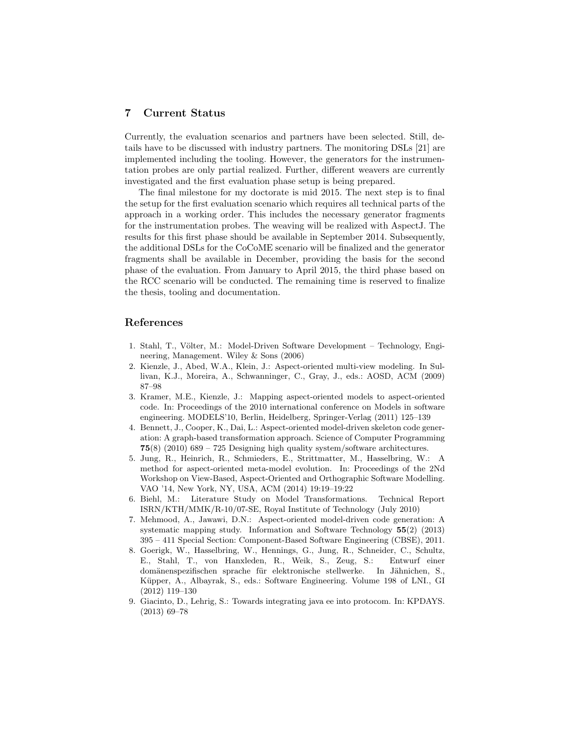# <span id="page-6-9"></span>7 Current Status

Currently, the evaluation scenarios and partners have been selected. Still, details have to be discussed with industry partners. The monitoring DSLs [\[21\]](#page-7-11) are implemented including the tooling. However, the generators for the instrumentation probes are only partial realized. Further, different weavers are currently investigated and the first evaluation phase setup is being prepared.

The final milestone for my doctorate is mid 2015. The next step is to final the setup for the first evaluation scenario which requires all technical parts of the approach in a working order. This includes the necessary generator fragments for the instrumentation probes. The weaving will be realized with AspectJ. The results for this first phase should be available in September 2014. Subsequently, the additional DSLs for the CoCoME scenario will be finalized and the generator fragments shall be available in December, providing the basis for the second phase of the evaluation. From January to April 2015, the third phase based on the RCC scenario will be conducted. The remaining time is reserved to finalize the thesis, tooling and documentation.

# References

- <span id="page-6-0"></span>1. Stahl, T., Völter, M.: Model-Driven Software Development – Technology, Engineering, Management. Wiley & Sons (2006)
- <span id="page-6-1"></span>2. Kienzle, J., Abed, W.A., Klein, J.: Aspect-oriented multi-view modeling. In Sullivan, K.J., Moreira, A., Schwanninger, C., Gray, J., eds.: AOSD, ACM (2009) 87–98
- <span id="page-6-2"></span>3. Kramer, M.E., Kienzle, J.: Mapping aspect-oriented models to aspect-oriented code. In: Proceedings of the 2010 international conference on Models in software engineering. MODELS'10, Berlin, Heidelberg, Springer-Verlag (2011) 125–139
- <span id="page-6-3"></span>4. Bennett, J., Cooper, K., Dai, L.: Aspect-oriented model-driven skeleton code generation: A graph-based transformation approach. Science of Computer Programming **75(8)** (2010)  $689 - 725$  Designing high quality system/software architectures.
- <span id="page-6-4"></span>5. Jung, R., Heinrich, R., Schmieders, E., Strittmatter, M., Hasselbring, W.: A method for aspect-oriented meta-model evolution. In: Proceedings of the 2Nd Workshop on View-Based, Aspect-Oriented and Orthographic Software Modelling. VAO '14, New York, NY, USA, ACM (2014) 19:19–19:22
- <span id="page-6-5"></span>6. Biehl, M.: Literature Study on Model Transformations. Technical Report ISRN/KTH/MMK/R-10/07-SE, Royal Institute of Technology (July 2010)
- <span id="page-6-6"></span>7. Mehmood, A., Jawawi, D.N.: Aspect-oriented model-driven code generation: A systematic mapping study. Information and Software Technology 55(2) (2013) 395 – 411 Special Section: Component-Based Software Engineering (CBSE), 2011.
- <span id="page-6-7"></span>8. Goerigk, W., Hasselbring, W., Hennings, G., Jung, R., Schneider, C., Schultz, E., Stahl, T., von Hanxleden, R., Weik, S., Zeug, S.: Entwurf einer domänenspezifischen sprache für elektronische stellwerke. In Jähnichen, S., Küpper, A., Albayrak, S., eds.: Software Engineering. Volume 198 of LNI., GI (2012) 119–130
- <span id="page-6-8"></span>9. Giacinto, D., Lehrig, S.: Towards integrating java ee into protocom. In: KPDAYS. (2013) 69–78